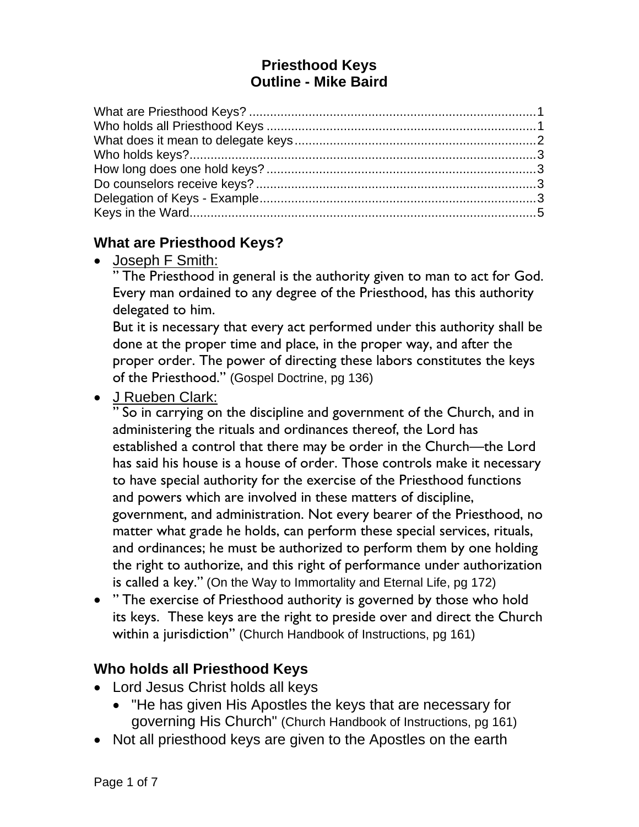#### **Priesthood Keys Outline - Mike Baird**

# **What are Priesthood Keys?**

Joseph F Smith:

" The Priesthood in general is the authority given to man to act for God. Every man ordained to any degree of the Priesthood, has this authority delegated to him.

But it is necessary that every act performed under this authority shall be done at the proper time and place, in the proper way, and after the proper order. The power of directing these labors constitutes the keys of the Priesthood." (Gospel Doctrine, pg 136)

# J Rueben Clark:

" So in carrying on the discipline and government of the Church, and in administering the rituals and ordinances thereof, the Lord has established a control that there may be order in the Church—the Lord has said his house is a house of order. Those controls make it necessary to have special authority for the exercise of the Priesthood functions and powers which are involved in these matters of discipline, government, and administration. Not every bearer of the Priesthood, no matter what grade he holds, can perform these special services, rituals, and ordinances; he must be authorized to perform them by one holding the right to authorize, and this right of performance under authorization is called a key." (On the Way to Immortality and Eternal Life, pg 172)

• "The exercise of Priesthood authority is governed by those who hold its keys. These keys are the right to preside over and direct the Church within a jurisdiction" (Church Handbook of Instructions, pg 161)

# **Who holds all Priesthood Keys**

- Lord Jesus Christ holds all keys
	- "He has given His Apostles the keys that are necessary for governing His Church" (Church Handbook of Instructions, pg 161)
- Not all priesthood keys are given to the Apostles on the earth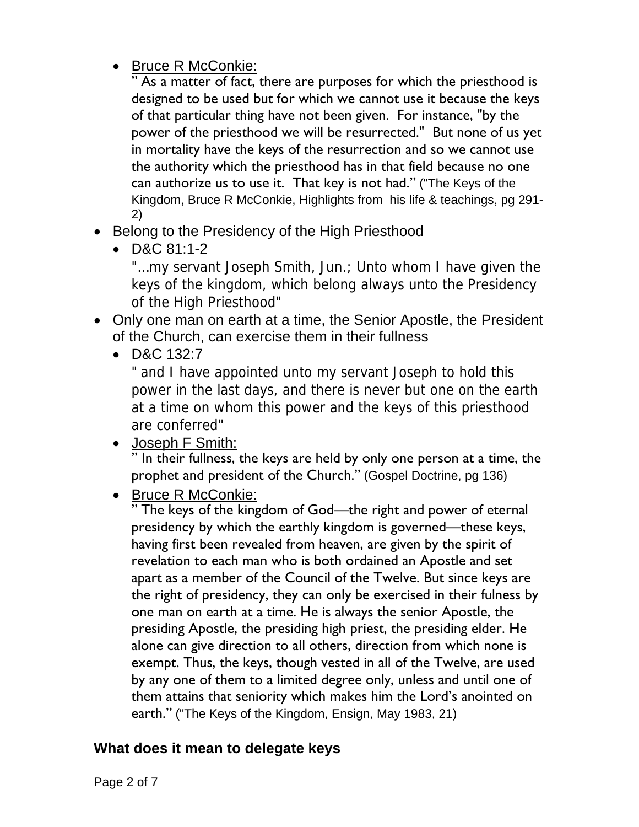• Bruce R McConkie:

" As a matter of fact, there are purposes for which the priesthood is designed to be used but for which we cannot use it because the keys of that particular thing have not been given. For instance, "by the power of the priesthood we will be resurrected." But none of us yet in mortality have the keys of the resurrection and so we cannot use the authority which the priesthood has in that field because no one can authorize us to use it. That key is not had." ("The Keys of the Kingdom, Bruce R McConkie, Highlights from his life & teachings, pg 291- 2)

- Belong to the Presidency of the High Priesthood
	- $\bullet$  D&C 81:1-2

"…my servant Joseph Smith, Jun.; Unto whom I have given the keys of the kingdom, which belong always unto the Presidency of the High Priesthood"

- Only one man on earth at a time, the Senior Apostle, the President of the Church, can exercise them in their fullness
	- D&C 132:7

" and I have appointed unto my servant Joseph to hold this power in the last days, and there is never but one on the earth at a time on whom this power and the keys of this priesthood are conferred"

• Joseph F Smith:

" In their fullness, the keys are held by only one person at a time, the prophet and president of the Church." (Gospel Doctrine, pg 136)

• Bruce R McConkie:

" The keys of the kingdom of God—the right and power of eternal presidency by which the earthly kingdom is governed—these keys, having first been revealed from heaven, are given by the spirit of revelation to each man who is both ordained an Apostle and set apart as a member of the Council of the Twelve. But since keys are the right of presidency, they can only be exercised in their fulness by one man on earth at a time. He is always the senior Apostle, the presiding Apostle, the presiding high priest, the presiding elder. He alone can give direction to all others, direction from which none is exempt. Thus, the keys, though vested in all of the Twelve, are used by any one of them to a limited degree only, unless and until one of them attains that seniority which makes him the Lord's anointed on earth." ("The Keys of the Kingdom, Ensign, May 1983, 21)

#### **What does it mean to delegate keys**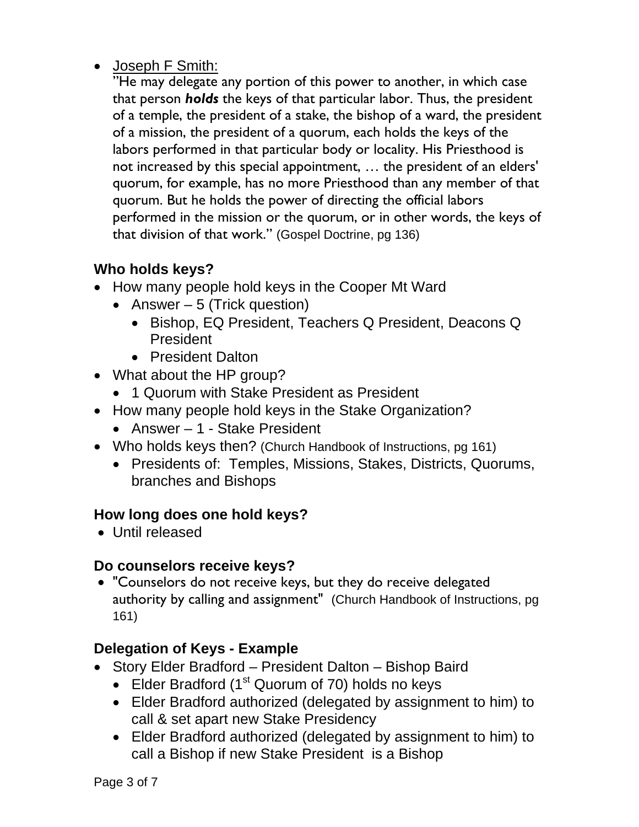• Joseph F Smith:

"He may delegate any portion of this power to another, in which case that person *holds* the keys of that particular labor. Thus, the president of a temple, the president of a stake, the bishop of a ward, the president of a mission, the president of a quorum, each holds the keys of the labors performed in that particular body or locality. His Priesthood is not increased by this special appointment, … the president of an elders' quorum, for example, has no more Priesthood than any member of that quorum. But he holds the power of directing the official labors performed in the mission or the quorum, or in other words, the keys of that division of that work." (Gospel Doctrine, pg 136)

### **Who holds keys?**

- How many people hold keys in the Cooper Mt Ward
	- Answer 5 (Trick question)
		- Bishop, EQ President, Teachers Q President, Deacons Q **President**
		- President Dalton
- What about the HP group?
	- 1 Quorum with Stake President as President
- How many people hold keys in the Stake Organization?
	- Answer 1 Stake President
- Who holds keys then? (Church Handbook of Instructions, pg 161)
	- Presidents of: Temples, Missions, Stakes, Districts, Quorums, branches and Bishops

#### **How long does one hold keys?**

Until released

#### **Do counselors receive keys?**

 "Counselors do not receive keys, but they do receive delegated authority by calling and assignment" (Church Handbook of Instructions, pg 161)

#### **Delegation of Keys - Example**

- Story Elder Bradford President Dalton Bishop Baird
	- Elder Bradford ( $1<sup>st</sup>$  Quorum of 70) holds no keys
	- Elder Bradford authorized (delegated by assignment to him) to call & set apart new Stake Presidency
	- Elder Bradford authorized (delegated by assignment to him) to call a Bishop if new Stake President is a Bishop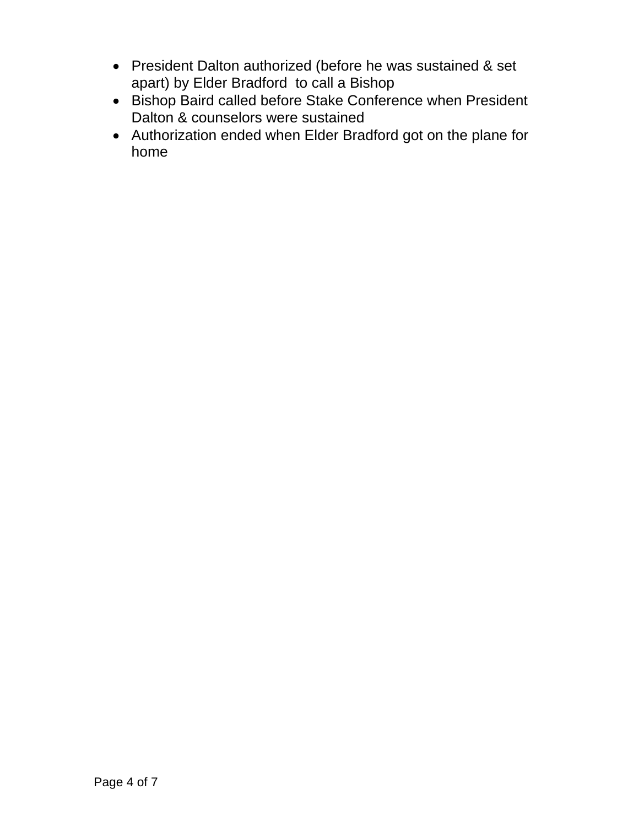- President Dalton authorized (before he was sustained & set apart) by Elder Bradford to call a Bishop
- Bishop Baird called before Stake Conference when President Dalton & counselors were sustained
- Authorization ended when Elder Bradford got on the plane for home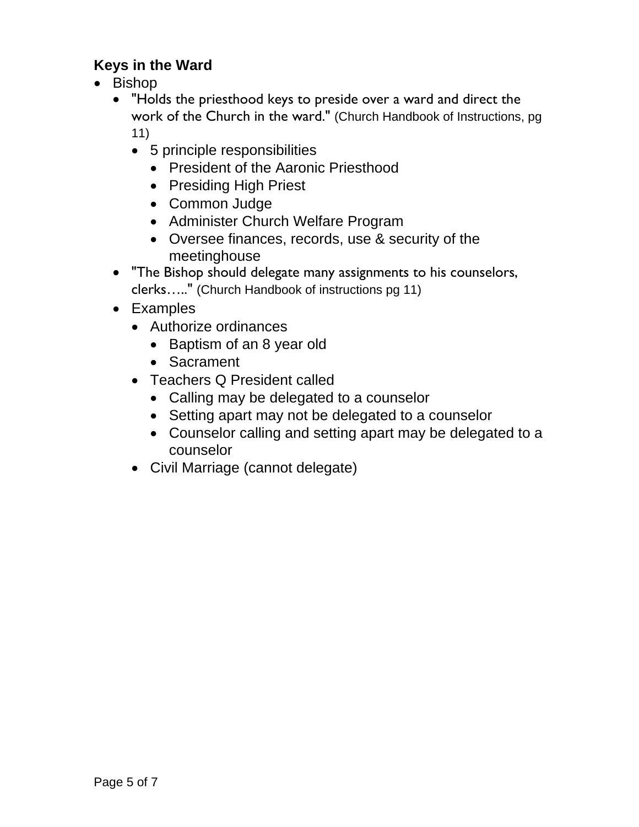# **Keys in the Ward**

- Bishop
	- "Holds the priesthood keys to preside over a ward and direct the work of the Church in the ward." (Church Handbook of Instructions, pg 11)
		- 5 principle responsibilities
			- President of the Aaronic Priesthood
			- Presiding High Priest
			- Common Judge
			- Administer Church Welfare Program
			- Oversee finances, records, use & security of the meetinghouse
	- "The Bishop should delegate many assignments to his counselors, clerks….." (Church Handbook of instructions pg 11)
	- Examples
		- Authorize ordinances
			- Baptism of an 8 year old
			- Sacrament
		- Teachers Q President called
			- Calling may be delegated to a counselor
			- Setting apart may not be delegated to a counselor
			- Counselor calling and setting apart may be delegated to a counselor
		- Civil Marriage (cannot delegate)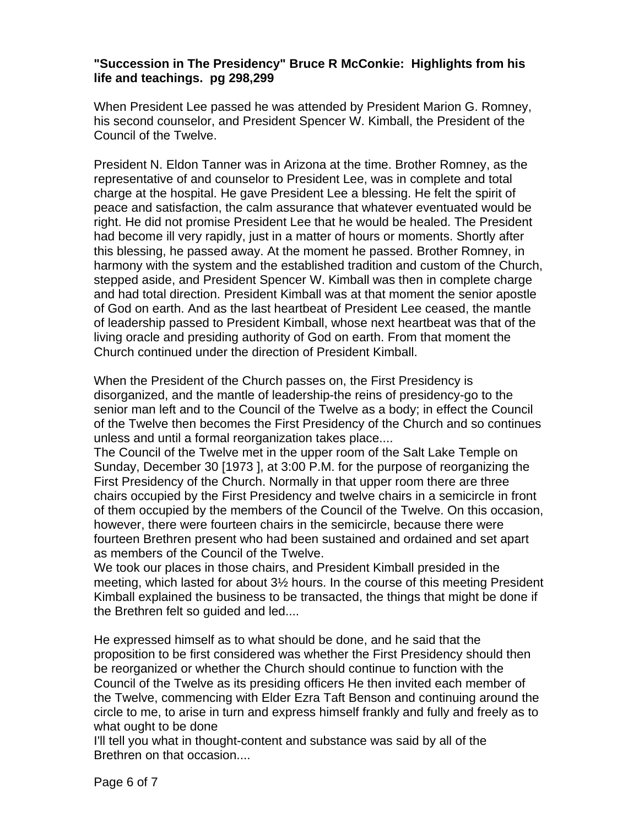#### **"Succession in The Presidency" Bruce R McConkie: Highlights from his life and teachings. pg 298,299**

When President Lee passed he was attended by President Marion G. Romney, his second counselor, and President Spencer W. Kimball, the President of the Council of the Twelve.

President N. Eldon Tanner was in Arizona at the time. Brother Romney, as the representative of and counselor to President Lee, was in complete and total charge at the hospital. He gave President Lee a blessing. He felt the spirit of peace and satisfaction, the calm assurance that whatever eventuated would be right. He did not promise President Lee that he would be healed. The President had become ill very rapidly, just in a matter of hours or moments. Shortly after this blessing, he passed away. At the moment he passed. Brother Romney, in harmony with the system and the established tradition and custom of the Church, stepped aside, and President Spencer W. Kimball was then in complete charge and had total direction. President Kimball was at that moment the senior apostle of God on earth. And as the last heartbeat of President Lee ceased, the mantle of leadership passed to President Kimball, whose next heartbeat was that of the living oracle and presiding authority of God on earth. From that moment the Church continued under the direction of President Kimball.

When the President of the Church passes on, the First Presidency is disorganized, and the mantle of leadership-the reins of presidency-go to the senior man left and to the Council of the Twelve as a body; in effect the Council of the Twelve then becomes the First Presidency of the Church and so continues unless and until a formal reorganization takes place....

The Council of the Twelve met in the upper room of the Salt Lake Temple on Sunday, December 30 [1973 ], at 3:00 P.M. for the purpose of reorganizing the First Presidency of the Church. Normally in that upper room there are three chairs occupied by the First Presidency and twelve chairs in a semicircle in front of them occupied by the members of the Council of the Twelve. On this occasion, however, there were fourteen chairs in the semicircle, because there were fourteen Brethren present who had been sustained and ordained and set apart as members of the Council of the Twelve.

We took our places in those chairs, and President Kimball presided in the meeting, which lasted for about 3½ hours. In the course of this meeting President Kimball explained the business to be transacted, the things that might be done if the Brethren felt so guided and led....

He expressed himself as to what should be done, and he said that the proposition to be first considered was whether the First Presidency should then be reorganized or whether the Church should continue to function with the Council of the Twelve as its presiding officers He then invited each member of the Twelve, commencing with Elder Ezra Taft Benson and continuing around the circle to me, to arise in turn and express himself frankly and fully and freely as to what ought to be done

I'll tell you what in thought-content and substance was said by all of the Brethren on that occasion....

Page 6 of 7